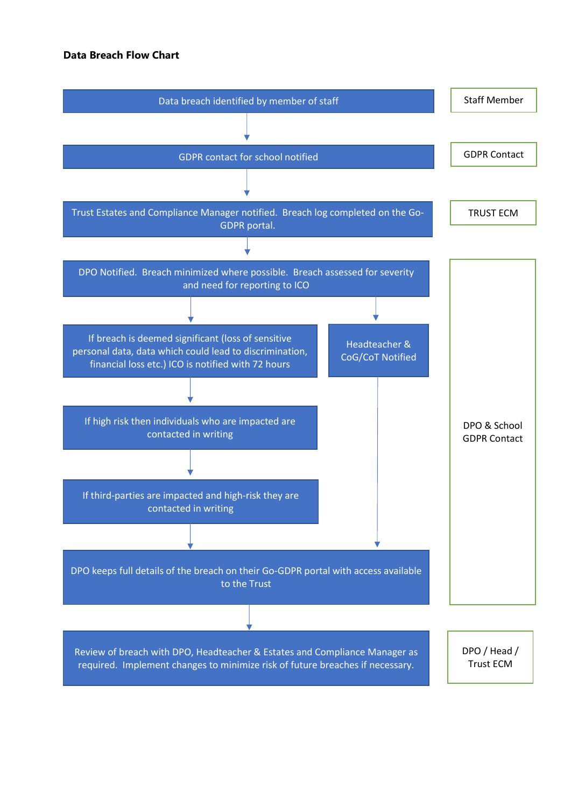## **Data Breach Flow Chart**

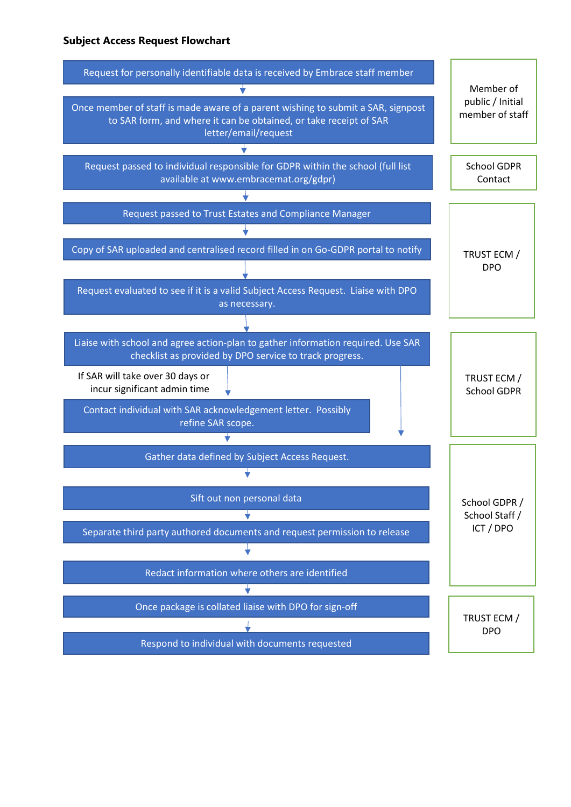## **Subject Access Request Flowchart**